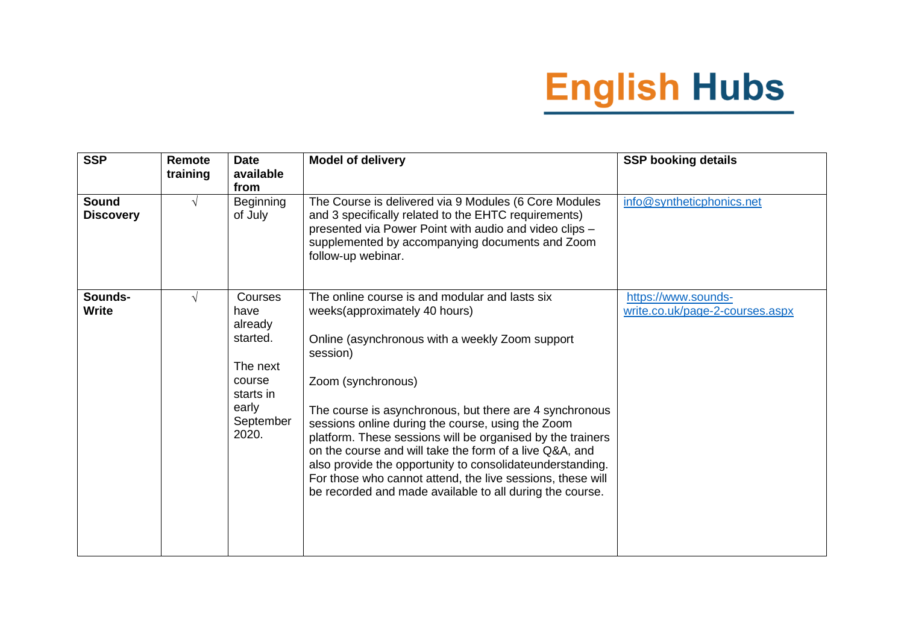| <b>SSP</b>                       | Remote<br>training | <b>Date</b><br>available<br>from                                                                         | <b>Model of delivery</b>                                                                                                                                                                                                                                                                                                                                                                                                                                                                                                                                                                             | <b>SSP booking details</b>                             |
|----------------------------------|--------------------|----------------------------------------------------------------------------------------------------------|------------------------------------------------------------------------------------------------------------------------------------------------------------------------------------------------------------------------------------------------------------------------------------------------------------------------------------------------------------------------------------------------------------------------------------------------------------------------------------------------------------------------------------------------------------------------------------------------------|--------------------------------------------------------|
| <b>Sound</b><br><b>Discovery</b> | $\sqrt{ }$         | <b>Beginning</b><br>of July                                                                              | The Course is delivered via 9 Modules (6 Core Modules<br>and 3 specifically related to the EHTC requirements)<br>presented via Power Point with audio and video clips -<br>supplemented by accompanying documents and Zoom<br>follow-up webinar.                                                                                                                                                                                                                                                                                                                                                     | info@syntheticphonics.net                              |
| Sounds-<br><b>Write</b>          | $\sqrt{ }$         | Courses<br>have<br>already<br>started.<br>The next<br>course<br>starts in<br>early<br>September<br>2020. | The online course is and modular and lasts six<br>weeks(approximately 40 hours)<br>Online (asynchronous with a weekly Zoom support<br>session)<br>Zoom (synchronous)<br>The course is asynchronous, but there are 4 synchronous<br>sessions online during the course, using the Zoom<br>platform. These sessions will be organised by the trainers<br>on the course and will take the form of a live Q&A, and<br>also provide the opportunity to consolidateunderstanding.<br>For those who cannot attend, the live sessions, these will<br>be recorded and made available to all during the course. | https://www.sounds-<br>write.co.uk/page-2-courses.aspx |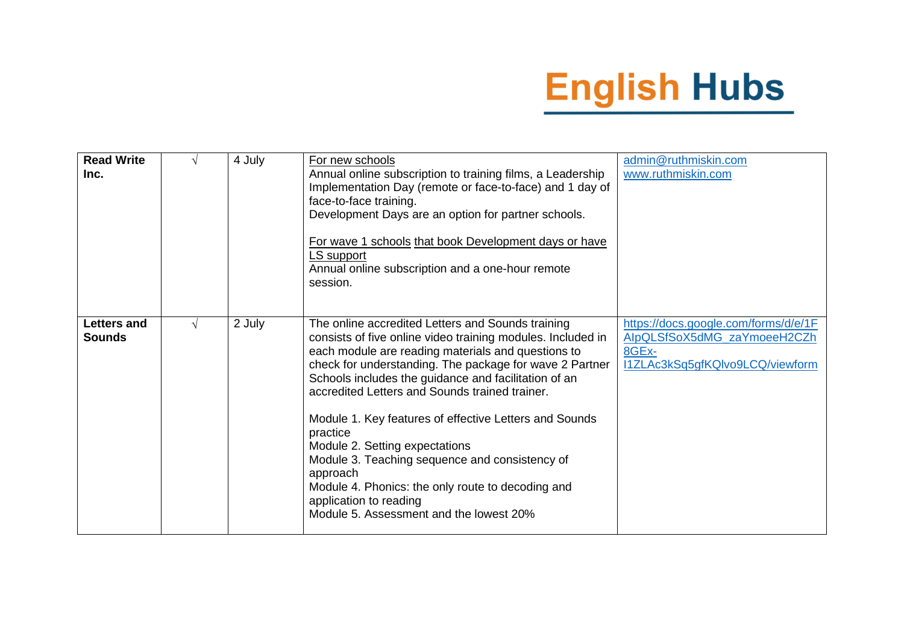| <b>Read Write</b><br>Inc.           |   | 4 July | For new schools<br>Annual online subscription to training films, a Leadership<br>Implementation Day (remote or face-to-face) and 1 day of<br>face-to-face training.<br>Development Days are an option for partner schools.<br>For wave 1 schools that book Development days or have<br>LS support<br>Annual online subscription and a one-hour remote<br>session.                                                                                                                                                                                                                                                                           | admin@ruthmiskin.com<br>www.ruthmiskin.com                                                                      |
|-------------------------------------|---|--------|---------------------------------------------------------------------------------------------------------------------------------------------------------------------------------------------------------------------------------------------------------------------------------------------------------------------------------------------------------------------------------------------------------------------------------------------------------------------------------------------------------------------------------------------------------------------------------------------------------------------------------------------|-----------------------------------------------------------------------------------------------------------------|
| <b>Letters and</b><br><b>Sounds</b> | V | 2 July | The online accredited Letters and Sounds training<br>consists of five online video training modules. Included in<br>each module are reading materials and questions to<br>check for understanding. The package for wave 2 Partner<br>Schools includes the guidance and facilitation of an<br>accredited Letters and Sounds trained trainer.<br>Module 1. Key features of effective Letters and Sounds<br>practice<br>Module 2. Setting expectations<br>Module 3. Teaching sequence and consistency of<br>approach<br>Module 4. Phonics: the only route to decoding and<br>application to reading<br>Module 5. Assessment and the lowest 20% | https://docs.google.com/forms/d/e/1F<br>AlpQLSfSoX5dMG_zaYmoeeH2CZh<br>8GEx-<br>I1ZLAc3kSq5gfKQIvo9LCQ/viewform |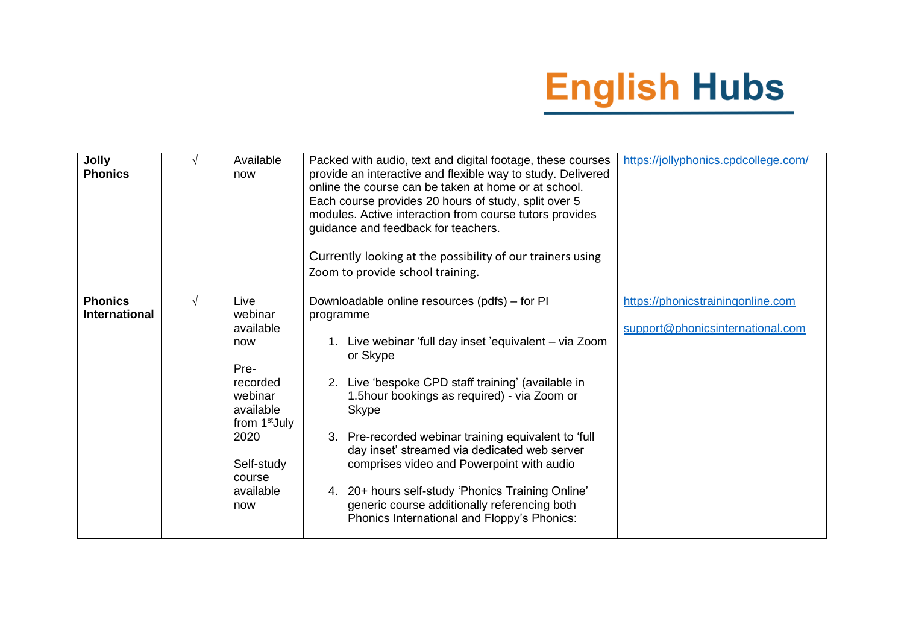| <b>Jolly</b><br><b>Phonics</b>         | V          | Available<br>now                                                                                                                                                 | Packed with audio, text and digital footage, these courses<br>provide an interactive and flexible way to study. Delivered<br>online the course can be taken at home or at school.<br>Each course provides 20 hours of study, split over 5<br>modules. Active interaction from course tutors provides<br>guidance and feedback for teachers.<br>Currently looking at the possibility of our trainers using<br>Zoom to provide school training.                                                                                                                  | https://jollyphonics.cpdcollege.com/                                  |
|----------------------------------------|------------|------------------------------------------------------------------------------------------------------------------------------------------------------------------|----------------------------------------------------------------------------------------------------------------------------------------------------------------------------------------------------------------------------------------------------------------------------------------------------------------------------------------------------------------------------------------------------------------------------------------------------------------------------------------------------------------------------------------------------------------|-----------------------------------------------------------------------|
| <b>Phonics</b><br><b>International</b> | $\sqrt{ }$ | Live<br>webinar<br>available<br>now<br>Pre-<br>recorded<br>webinar<br>available<br>from 1 <sup>st</sup> July<br>2020<br>Self-study<br>course<br>available<br>now | Downloadable online resources (pdfs) – for PI<br>programme<br>1. Live webinar 'full day inset 'equivalent - via Zoom<br>or Skype<br>2. Live 'bespoke CPD staff training' (available in<br>1.5hour bookings as required) - via Zoom or<br><b>Skype</b><br>3. Pre-recorded webinar training equivalent to 'full<br>day inset' streamed via dedicated web server<br>comprises video and Powerpoint with audio<br>4. 20+ hours self-study 'Phonics Training Online'<br>generic course additionally referencing both<br>Phonics International and Floppy's Phonics: | https://phonicstrainingonline.com<br>support@phonicsinternational.com |